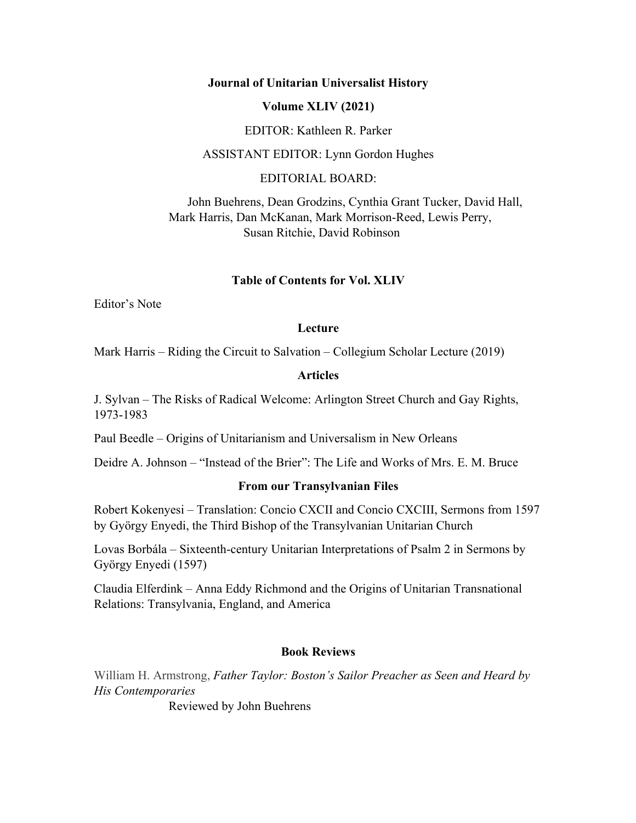## **Journal of Unitarian Universalist History**

## **Volume XLIV (2021)**

EDITOR: Kathleen R. Parker

ASSISTANT EDITOR: Lynn Gordon Hughes

EDITORIAL BOARD:

 John Buehrens, Dean Grodzins, Cynthia Grant Tucker, David Hall, Mark Harris, Dan McKanan, Mark Morrison-Reed, Lewis Perry, Susan Ritchie, David Robinson

## **Table of Contents for Vol. XLIV**

Editor's Note

## **Lecture**

Mark Harris – Riding the Circuit to Salvation – Collegium Scholar Lecture (2019)

## **Articles**

J. Sylvan – The Risks of Radical Welcome: Arlington Street Church and Gay Rights, 1973-1983

Paul Beedle – Origins of Unitarianism and Universalism in New Orleans

Deidre A. Johnson – "Instead of the Brier": The Life and Works of Mrs. E. M. Bruce

## **From our Transylvanian Files**

Robert Kokenyesi – Translation: Concio CXCII and Concio CXCIII, Sermons from 1597 by György Enyedi, the Third Bishop of the Transylvanian Unitarian Church

Lovas Borbála – Sixteenth-century Unitarian Interpretations of Psalm 2 in Sermons by György Enyedi (1597)

Claudia Elferdink – Anna Eddy Richmond and the Origins of Unitarian Transnational Relations: Transylvania, England, and America

## **Book Reviews**

William H. Armstrong, *Father Taylor: Boston's Sailor Preacher as Seen and Heard by His Contemporaries*

Reviewed by John Buehrens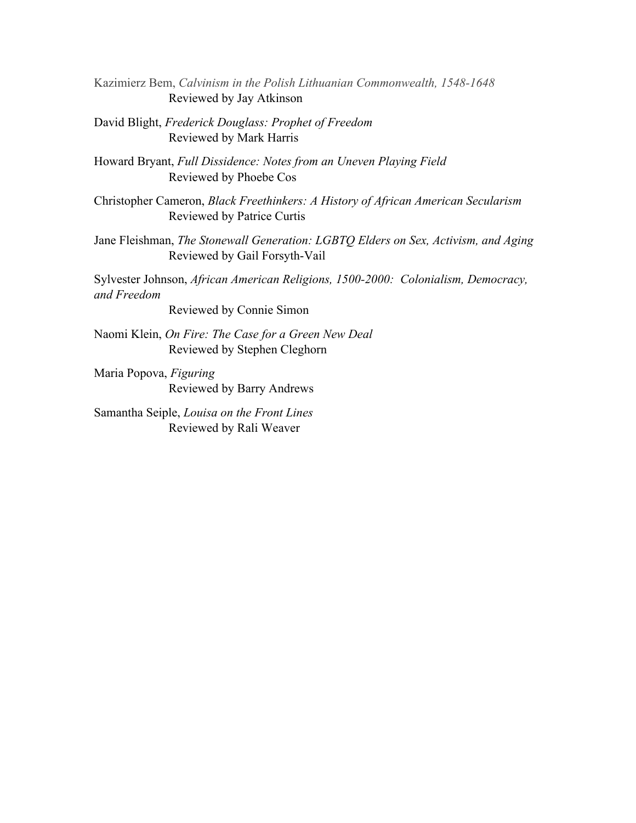Kazimierz Bem, *Calvinism in the Polish Lithuanian Commonwealth, 1548-1648* Reviewed by Jay Atkinson

David Blight, *Frederick Douglass: Prophet of Freedom* Reviewed by Mark Harris

Howard Bryant, *Full Dissidence: Notes from an Uneven Playing Field* Reviewed by Phoebe Cos

Christopher Cameron, *Black Freethinkers: A History of African American Secularism* Reviewed by Patrice Curtis

Jane Fleishman, *The Stonewall Generation: LGBTQ Elders on Sex, Activism, and Aging* Reviewed by Gail Forsyth-Vail

Sylvester Johnson, *African American Religions, 1500-2000: Colonialism, Democracy, and Freedom* 

Reviewed by Connie Simon

Naomi Klein, *On Fire: The Case for a Green New Deal* Reviewed by Stephen Cleghorn

Maria Popova, *Figuring* Reviewed by Barry Andrews

Samantha Seiple, *Louisa on the Front Lines* Reviewed by Rali Weaver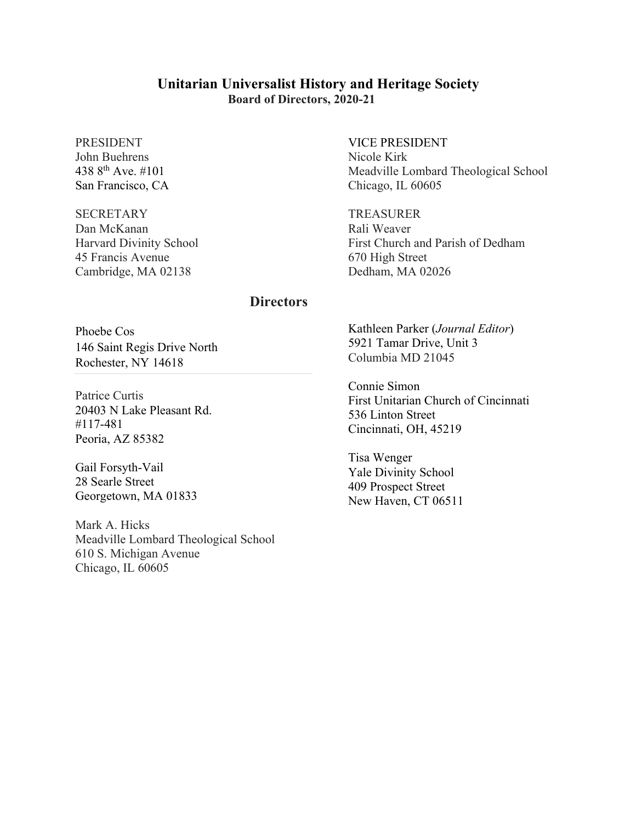# **Unitarian Universalist History and Heritage Society Board of Directors, 2020-21**

#### PRESIDENT John Buehrens

438 8th Ave. #101 San Francisco, CA

### **SECRETARY**

Dan McKanan Harvard Divinity School 45 Francis Avenue Cambridge, MA 02138

# VICE PRESIDENT Nicole Kirk Meadville Lombard Theological School

Chicago, IL 60605

TREASURER Rali Weaver First Church and Parish of Dedham 670 High Street Dedham, MA 02026

## **Directors**

Phoebe Cos 146 Saint Regis Drive North Rochester, NY 14618

Patrice Curtis 20403 N Lake Pleasant Rd. #117-481 Peoria, AZ 85382

Gail Forsyth-Vail 28 Searle Street Georgetown, MA 01833

Mark A. Hicks Meadville Lombard Theological School 610 S. Michigan Avenue Chicago, IL 60605

Kathleen Parker (*Journal Editor*) 5921 Tamar Drive, Unit 3 Columbia MD 21045

Connie Simon First Unitarian Church of Cincinnati 536 Linton Street Cincinnati, OH, 45219

Tisa Wenger Yale Divinity School 409 Prospect Street New Haven, CT 06511